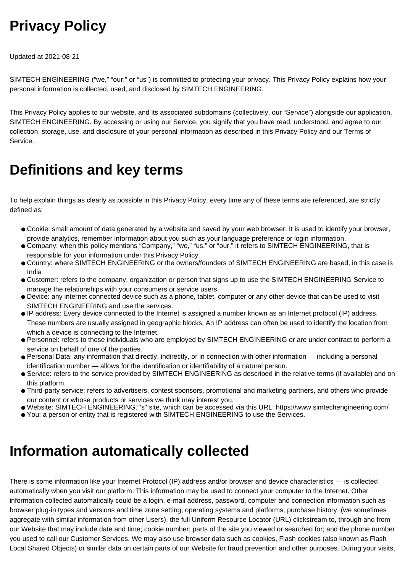## **Privacy Policy**

Updated at 2021-08-21

SIMTECH ENGINEERING ("we," "our," or "us") is committed to protecting your privacy. This Privacy Policy explains how your personal information is collected, used, and disclosed by SIMTECH ENGINEERING.

This Privacy Policy applies to our website, and its associated subdomains (collectively, our "Service") alongside our application, SIMTECH ENGINEERING. By accessing or using our Service, you signify that you have read, understood, and agree to our collection, storage, use, and disclosure of your personal information as described in this Privacy Policy and our Terms of Service.

### **Definitions and key terms**

To help explain things as clearly as possible in this Privacy Policy, every time any of these terms are referenced, are strictly defined as:

- Cookie: small amount of data generated by a website and saved by your web browser. It is used to identify your browser. provide analytics, remember information about you such as your language preference or login information.
- Company: when this policy mentions "Company," "we," "us," or "our," it refers to SIMTECH ENGINEERING, that is responsible for your information under this Privacy Policy.
- Country: where SIMTECH ENGINEERING or the owners/founders of SIMTECH ENGINEERING are based, in this case is India
- Customer: refers to the company, organization or person that signs up to use the SIMTECH ENGINEERING Service to manage the relationships with your consumers or service users.
- Device: any internet connected device such as a phone, tablet, computer or any other device that can be used to visit SIMTECH ENGINEERING and use the services.
- IP address: Every device connected to the Internet is assigned a number known as an Internet protocol (IP) address. These numbers are usually assigned in geographic blocks. An IP address can often be used to identify the location from which a device is connecting to the Internet.
- Personnel: refers to those individuals who are employed by SIMTECH ENGINEERING or are under contract to perform a service on behalf of one of the parties.
- Personal Data: any information that directly, indirectly, or in connection with other information including a personal identification number — allows for the identification or identifiability of a natural person.
- Service: refers to the service provided by SIMTECH ENGINEERING as described in the relative terms (if available) and on this platform.
- Third-party service: refers to advertisers, contest sponsors, promotional and marketing partners, and others who provide our content or whose products or services we think may interest you.
- Website: SIMTECH ENGINEERING."'s" site, which can be accessed via this URL: https://www.simtechengineering.com/
- You: a person or entity that is registered with SIMTECH ENGINEERING to use the Services.

### **Information automatically collected**

There is some information like your Internet Protocol (IP) address and/or browser and device characteristics — is collected automatically when you visit our platform. This information may be used to connect your computer to the Internet. Other information collected automatically could be a login, e-mail address, password, computer and connection information such as browser plug-in types and versions and time zone setting, operating systems and platforms, purchase history, (we sometimes aggregate with similar information from other Users), the full Uniform Resource Locator (URL) clickstream to, through and from our Website that may include date and time; cookie number; parts of the site you viewed or searched for; and the phone number you used to call our Customer Services. We may also use browser data such as cookies, Flash cookies (also known as Flash Local Shared Objects) or similar data on certain parts of our Website for fraud prevention and other purposes. During your visits,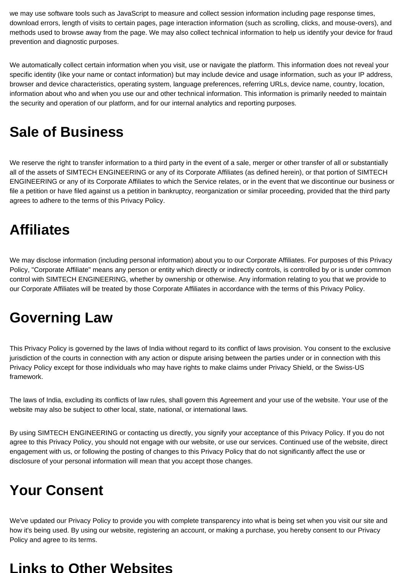we may use software tools such as JavaScript to measure and collect session information including page response times, download errors, length of visits to certain pages, page interaction information (such as scrolling, clicks, and mouse-overs), and methods used to browse away from the page. We may also collect technical information to help us identify your device for fraud prevention and diagnostic purposes.

We automatically collect certain information when you visit, use or navigate the platform. This information does not reveal your specific identity (like your name or contact information) but may include device and usage information, such as your IP address, browser and device characteristics, operating system, language preferences, referring URLs, device name, country, location, information about who and when you use our and other technical information. This information is primarily needed to maintain the security and operation of our platform, and for our internal analytics and reporting purposes.

### **Sale of Business**

We reserve the right to transfer information to a third party in the event of a sale, merger or other transfer of all or substantially all of the assets of SIMTECH ENGINEERING or any of its Corporate Affiliates (as defined herein), or that portion of SIMTECH ENGINEERING or any of its Corporate Affiliates to which the Service relates, or in the event that we discontinue our business or file a petition or have filed against us a petition in bankruptcy, reorganization or similar proceeding, provided that the third party agrees to adhere to the terms of this Privacy Policy.

### **Affiliates**

We may disclose information (including personal information) about you to our Corporate Affiliates. For purposes of this Privacy Policy, "Corporate Affiliate" means any person or entity which directly or indirectly controls, is controlled by or is under common control with SIMTECH ENGINEERING, whether by ownership or otherwise. Any information relating to you that we provide to our Corporate Affiliates will be treated by those Corporate Affiliates in accordance with the terms of this Privacy Policy.

### **Governing Law**

This Privacy Policy is governed by the laws of India without regard to its conflict of laws provision. You consent to the exclusive jurisdiction of the courts in connection with any action or dispute arising between the parties under or in connection with this Privacy Policy except for those individuals who may have rights to make claims under Privacy Shield, or the Swiss-US framework.

The laws of India, excluding its conflicts of law rules, shall govern this Agreement and your use of the website. Your use of the website may also be subject to other local, state, national, or international laws.

By using SIMTECH ENGINEERING or contacting us directly, you signify your acceptance of this Privacy Policy. If you do not agree to this Privacy Policy, you should not engage with our website, or use our services. Continued use of the website, direct engagement with us, or following the posting of changes to this Privacy Policy that do not significantly affect the use or disclosure of your personal information will mean that you accept those changes.

### **Your Consent**

We've updated our Privacy Policy to provide you with complete transparency into what is being set when you visit our site and how it's being used. By using our website, registering an account, or making a purchase, you hereby consent to our Privacy Policy and agree to its terms.

#### **Links to Other Websites**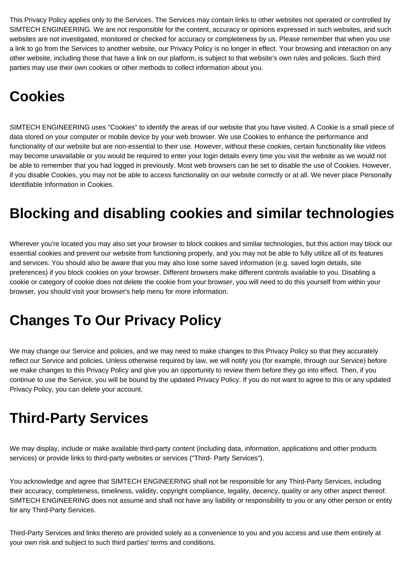This Privacy Policy applies only to the Services. The Services may contain links to other websites not operated or controlled by SIMTECH ENGINEERING. We are not responsible for the content, accuracy or opinions expressed in such websites, and such websites are not investigated, monitored or checked for accuracy or completeness by us. Please remember that when you use a link to go from the Services to another website, our Privacy Policy is no longer in effect. Your browsing and interaction on any other website, including those that have a link on our platform, is subject to that website's own rules and policies. Such third parties may use their own cookies or other methods to collect information about you.

## **Cookies**

SIMTECH ENGINEERING uses "Cookies" to identify the areas of our website that you have visited. A Cookie is a small piece of data stored on your computer or mobile device by your web browser. We use Cookies to enhance the performance and functionality of our website but are non-essential to their use. However, without these cookies, certain functionality like videos may become unavailable or you would be required to enter your login details every time you visit the website as we would not be able to remember that you had logged in previously. Most web browsers can be set to disable the use of Cookies. However, if you disable Cookies, you may not be able to access functionality on our website correctly or at all. We never place Personally Identifiable Information in Cookies.

## **Blocking and disabling cookies and similar technologies**

Wherever you're located you may also set your browser to block cookies and similar technologies, but this action may block our essential cookies and prevent our website from functioning properly, and you may not be able to fully utilize all of its features and services. You should also be aware that you may also lose some saved information (e.g. saved login details, site preferences) if you block cookies on your browser. Different browsers make different controls available to you. Disabling a cookie or category of cookie does not delete the cookie from your browser, you will need to do this yourself from within your browser, you should visit your browser's help menu for more information.

## **Changes To Our Privacy Policy**

We may change our Service and policies, and we may need to make changes to this Privacy Policy so that they accurately reflect our Service and policies. Unless otherwise required by law, we will notify you (for example, through our Service) before we make changes to this Privacy Policy and give you an opportunity to review them before they go into effect. Then, if you continue to use the Service, you will be bound by the updated Privacy Policy. If you do not want to agree to this or any updated Privacy Policy, you can delete your account.

## **Third-Party Services**

We may display, include or make available third-party content (including data, information, applications and other products services) or provide links to third-party websites or services ("Third- Party Services").

You acknowledge and agree that SIMTECH ENGINEERING shall not be responsible for any Third-Party Services, including their accuracy, completeness, timeliness, validity, copyright compliance, legality, decency, quality or any other aspect thereof. SIMTECH ENGINEERING does not assume and shall not have any liability or responsibility to you or any other person or entity for any Third-Party Services.

Third-Party Services and links thereto are provided solely as a convenience to you and you access and use them entirely at your own risk and subject to such third parties' terms and conditions.